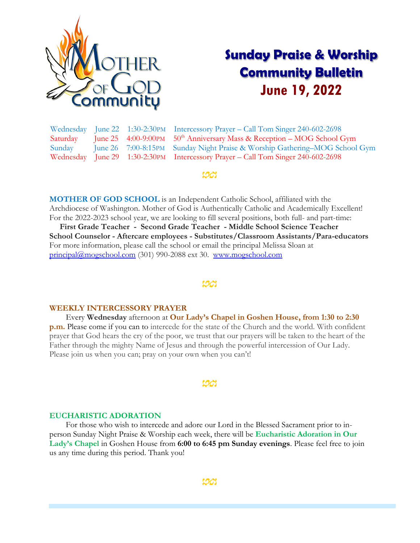

# **Sunday Praise & Worship Community Bulletin June 19, 2022**

Wednesday June 22 1:30-2:30PM Intercessory Prayer – Call Tom Singer 240-602-2698 Saturday June 25  $4:00-9:00\text{PM}$  50<sup>th</sup> Anniversary Mass & Reception – MOG School Gym Sunday June 26 7:00-8:15PM Sunday Night Praise & Worship Gathering–MOG School Gym Wednesday June 29 1:30-2:30PM Intercessory Prayer – Call Tom Singer 240-602-2698

#### Lœ

**MOTHER OF GOD SCHOOL** is an Independent Catholic School, affiliated with the Archdiocese of Washington. Mother of God is Authentically Catholic and Academically Excellent! For the 2022-2023 school year, we are looking to fill several positions, both full- and part-time:

 **First Grade Teacher - Second Grade Teacher - Middle School Science Teacher School Counselor - Aftercare employees - Substitutes/Classroom Assistants/Para-educators** For more information, please call the school or email the principal Melissa Sloan at [principal@mogschool.com](mailto:principal@mogschool.com) (301) 990-2088 ext 30. [www.mogschool.com](file://///mogsrvc/mogc/Bulletins_SNPM/2022/www.mogschool.com)

#### 50

#### **WEEKLY INTERCESSORY PRAYER**

 Every **Wednesday** afternoon at **Our Lady's Chapel in Goshen House, from 1:30 to 2:30 p.m.** Please come if you can to intercede for the state of the Church and the world. With confident prayer that God hears the cry of the poor, we trust that our prayers will be taken to the heart of the Father through the mighty Name of Jesus and through the powerful intercession of Our Lady. Please join us when you can; pray on your own when you can't!

#### <u>ගය</u>

### **EUCHARISTIC ADORATION**

 For those who wish to intercede and adore our Lord in the Blessed Sacrament prior to inperson Sunday Night Praise & Worship each week, there will be **Eucharistic Adoration in Our Lady's Chapel** in Goshen House from **6:00 to 6:45 pm Sunday evenings**. Please feel free to join us any time during this period. Thank you!

<u>Ud</u>